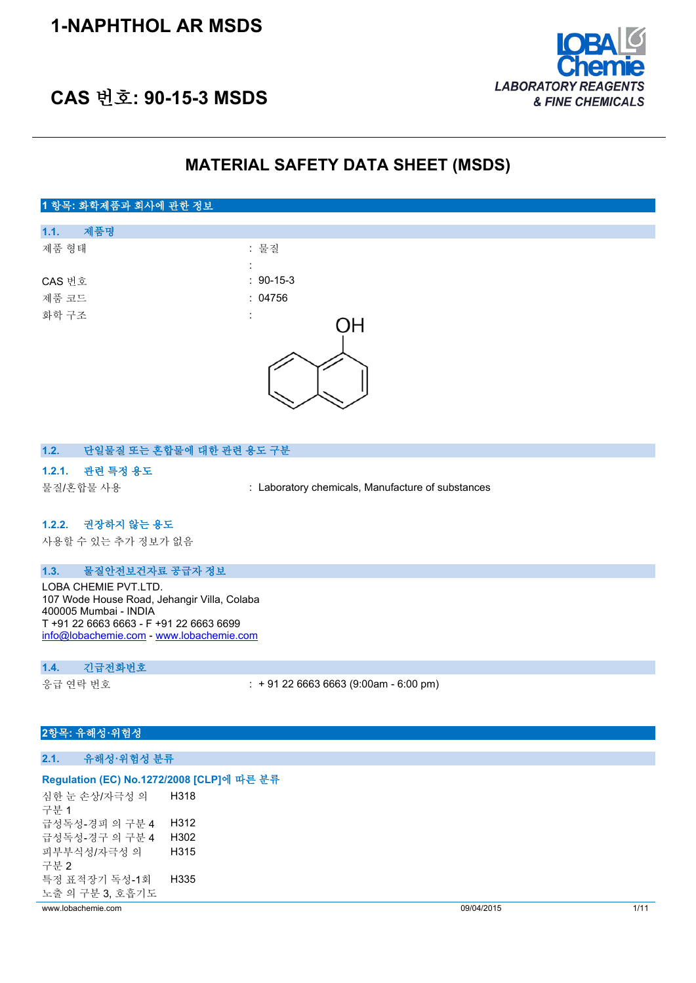## **1-NAPHTHOL AR MSDS**



## **CAS 번호: 90-15-3 MSDS**

### **MATERIAL SAFETY DATA SHEET (MSDS)**

# **1 항목: 화학제품과 회사에 관한 정보 1.1. 제품명** 제품 형태 : 기대 : 기대 : 물질 : CAS 번호 : 90-15-3 제품 코드 : 04756 화학 구조 ΟH

### **1.2. 단일물질 또는 혼합물에 대한 관련 용도 구분**

### **1.2.1. 관련 특정 용도**

물질/혼합물 사용 : Laboratory chemicals, Manufacture of substances

### **1.2.2. 권장하지 않는 용도**

사용할 수 있는 추가 정보가 없음

### **1.3. 물질안전보건자료 공급자 정보**

LOBA CHEMIE PVT.LTD. 107 Wode House Road, Jehangir Villa, Colaba 400005 Mumbai - INDIA T +91 22 6663 6663 - F +91 22 6663 6699 [info@lobachemie.com](mailto:info@lobachemie.com) - <www.lobachemie.com>

#### **1.4. 긴급전화번호**

응급 연락 번호 : + 91 22 6663 6663 (9:00am - 6:00 pm)

### **2항목: 유해성·위험성**

### **2.1. 유해성·위험성 분류**

#### **Regulation (EC) No.1272/2008 [CLP]에 따른 분류**

심한 눈 손상/자극성 의 구분 1 H318 급성독성-경피 의 구분 4 H312 급성독성-경구 의 구분 4 H302 피부부식성/자극성 의 구분 2 H315 특정 표적장기 독성-1회 노출 의 구분 3, 호흡기도 H335

www.lobachemie.com 09/04/2015 1/11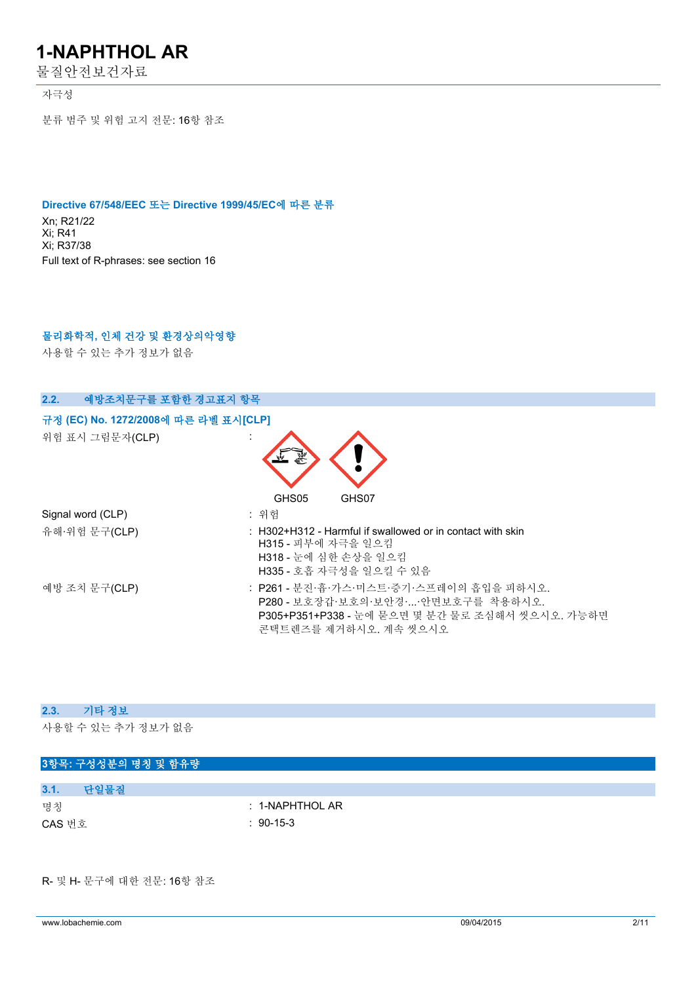물질안전보건자료

자극성

분류 범주 및 위험 고지 전문: 16항 참조

### **Directive 67/548/EEC 또는 Directive 1999/45/EC에 따른 분류**

Xn; R21/22 Xi; R41 Xi; R37/38 Full text of R-phrases: see section 16

### **물리화학적, 인체 건강 및 환경상의악영향**

사용할 수 있는 추가 정보가 없음

| 예방조치문구를 포함한 경고표지 항목<br>2.2.                             |                                                                                                                                                           |
|---------------------------------------------------------|-----------------------------------------------------------------------------------------------------------------------------------------------------------|
| 규정 (EC) No. 1272/2008에 따른 라벨 표시[CLP]<br>위험 표시 그림문자(CLP) | يبتها                                                                                                                                                     |
| Signal word (CLP)<br>유해·위험 문구(CLP)                      | GHS05<br>GHS07<br>: 위험<br>$\pm$ H302+H312 - Harmful if swallowed or in contact with skin<br>H315 - 피부에 자극을 일으킴                                            |
|                                                         | H318 - 눈에 심한 손상을 일으킴<br>H335 - 호흡 자극성을 일으킬 수 있음                                                                                                           |
| 예방 조치 문구(CLP)                                           | : P261 - 분진·흄·가스·미스트·증기·스프레이의 흡입을 피하시오.<br>P280 - 보호장갑·보호의·보안경··안면보호구를 착용하시오.<br>P305+P351+P338 - 눈에 묻으면 몇 분간 물로 조심해서 씻으시오. 가능하면<br>콘택트렌즈를 제거하시오. 계속 씻으시오 |

### **2.3. 기타 정보**

사용할 수 있는 추가 정보가 없음

|        | 3항목: 구성성분의 명칭 및 함유량 |  |                  |  |  |  |
|--------|---------------------|--|------------------|--|--|--|
|        |                     |  |                  |  |  |  |
| 3.1.   | 단일물질                |  |                  |  |  |  |
| 명칭     |                     |  | $: 1-NAPHTHOLAR$ |  |  |  |
| CAS 번호 |                     |  | $: 90-15-3$      |  |  |  |
|        |                     |  |                  |  |  |  |

R- 및 H- 문구에 대한 전문: 16항 참조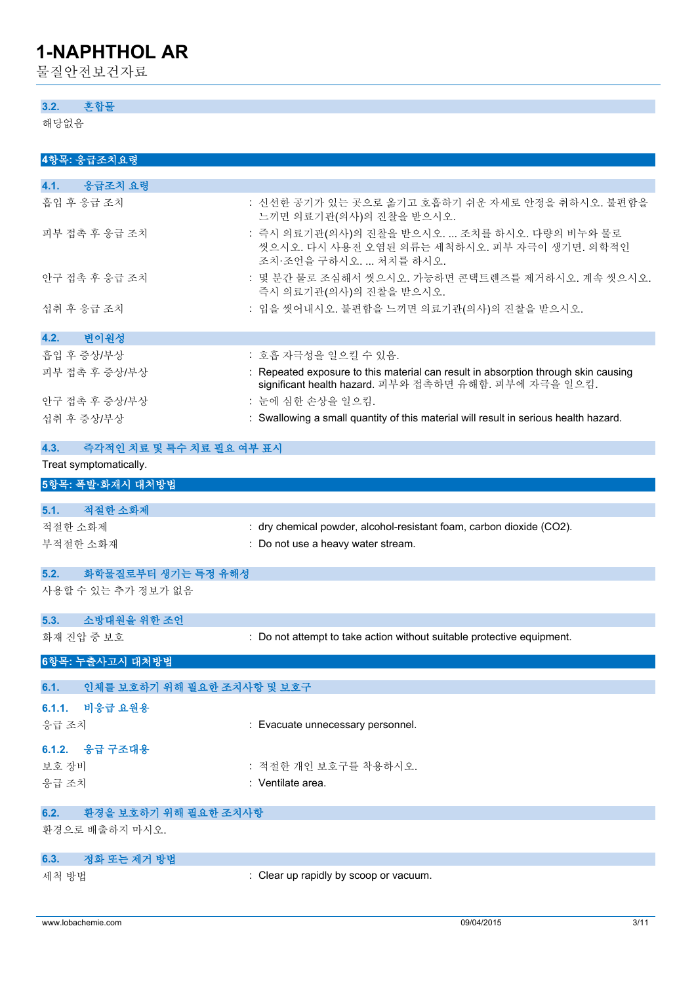물질안전보건자료

### **3.2. 혼합물**

해당없음

| 4항목: 응급조치요령                        |                                                                                                                                             |
|------------------------------------|---------------------------------------------------------------------------------------------------------------------------------------------|
| 응급조치 요령<br>4.1.                    |                                                                                                                                             |
| 흡입 후 응급 조치                         | : 신선한 공기가 있는 곳으로 옮기고 호흡하기 쉬운 자세로 안정을 취하시오. 불편함을<br>느끼면 의료기관(의사)의 진찰을 받으시오.                                                                  |
| 피부 접촉 후 응급 조치                      | : 즉시 의료기관(의사)의 진찰을 받으시오.  조치를 하시오. 다량의 비누와 물로<br>씻으시오. 다시 사용전 오염된 의류는 세척하시오. 피부 자극이 생기면. 의학적인<br>조치·조언을 구하시오.  처치를 하시오.                     |
| 안구 접촉 후 응급 조치                      | : 몇 분간 물로 조심해서 씻으시오. 가능하면 콘택트렌즈를 제거하시오. 계속 씻으시오.<br>즉시 의료기관(의사)의 진찰을 받으시오.                                                                  |
| 섭취 후 응급 조치                         | : 입을 씻어내시오. 불편함을 느끼면 의료기관(의사)의 진찰을 받으시오.                                                                                                    |
| 변이원성<br>4.2.                       |                                                                                                                                             |
| 흡입 후 증상/부상                         | : 호흡 자극성을 일으킬 수 있음.                                                                                                                         |
| 피부 접촉 후 증상/부상                      | : Repeated exposure to this material can result in absorption through skin causing<br>significant health hazard. 피부와 접촉하면 유해함. 피부에 자극을 일으킴. |
| 안구 접촉 후 증상/부상                      | : 눈에 심한 손상을 일으킴.                                                                                                                            |
| 섭취 후 증상/부상                         | : Swallowing a small quantity of this material will result in serious health hazard.                                                        |
| 즉각적인 치료 및 특수 치료 필요 여부 표시<br>4.3.   |                                                                                                                                             |
| Treat symptomatically.             |                                                                                                                                             |
| 5항목: 폭발·화재시 대처방법                   |                                                                                                                                             |
| 적절한 소화제<br>5.1.                    |                                                                                                                                             |
| 적절한 소화제                            | : dry chemical powder, alcohol-resistant foam, carbon dioxide (CO2).                                                                        |
| 부적절한 소화재                           | : Do not use a heavy water stream.                                                                                                          |
| 화학물질로부터 생기는 특정 유해성<br>5.2.         |                                                                                                                                             |
| 사용할 수 있는 추가 정보가 없음                 |                                                                                                                                             |
| 소방대원을 위한 조언<br>5.3.                |                                                                                                                                             |
| 화재 진압 중 보호                         | : Do not attempt to take action without suitable protective equipment.                                                                      |
| 6항목: 누출사고시 대처방법                    |                                                                                                                                             |
| 인체를 보호하기 위해 필요한 조치사항 및 보호구<br>6.1. |                                                                                                                                             |
| 6.1.1.<br>비응급 요원용                  |                                                                                                                                             |
| 응급 조치                              | : Evacuate unnecessary personnel.                                                                                                           |
| 응급 구조대용<br>6.1.2.                  |                                                                                                                                             |
| 보호 장비                              | : 적절한 개인 보호구를 착용하시오.                                                                                                                        |
| 응급 조치                              | : Ventilate area.                                                                                                                           |
| 환경을 보호하기 위해 필요한 조치사항<br>6.2.       |                                                                                                                                             |
| 환경으로 배출하지 마시오.                     |                                                                                                                                             |
| 정화 또는 제거 방법<br>6.3.                |                                                                                                                                             |
| 세척 방법                              | : Clear up rapidly by scoop or vacuum.                                                                                                      |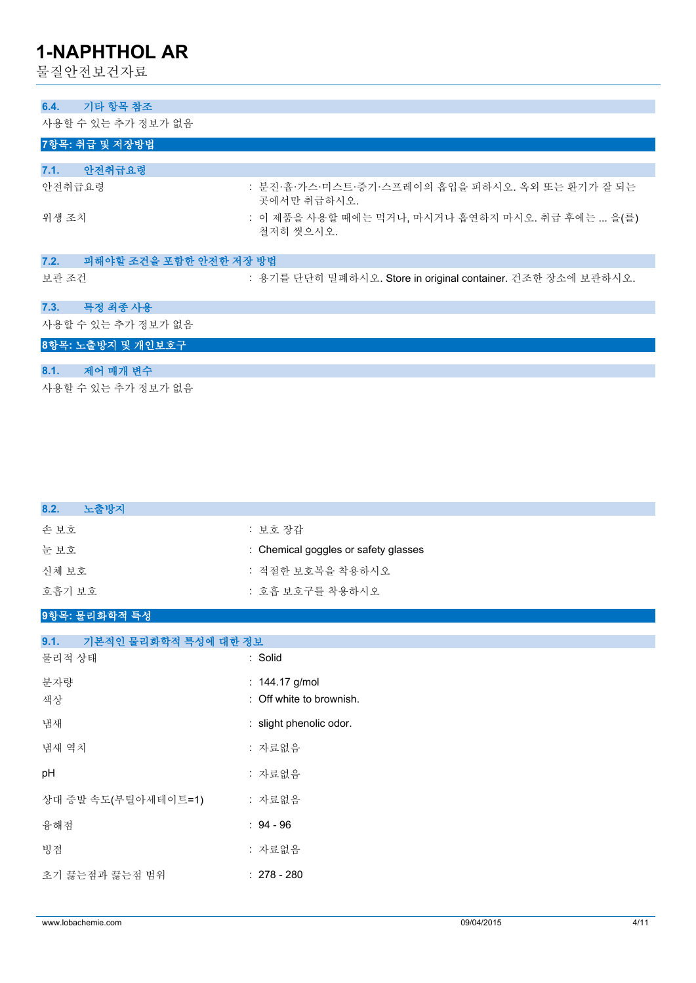물질안전보건자료

| 기타 항목 참조<br>6.4.               |                                                                |
|--------------------------------|----------------------------------------------------------------|
| 사용할 수 있는 추가 정보가 없음             |                                                                |
|                                |                                                                |
| 7항목: 취급 및 저장방법                 |                                                                |
|                                |                                                                |
| 안전취급요령<br>7.1.                 |                                                                |
| 안전취급요령                         | : 분진·흄·가스·미스트·증기·스프레이의 흡입을 피하시오. 옥외 또는 환기가 잘 되는<br>곳에서만 취급하시오. |
| 위생 조치                          | : 이 제품을 사용할 때에는 먹거나, 마시거나 흡연하지 마시오. 취급 후에는  을(를)<br>철저히 씻으시오.  |
| 7.2.<br>피해야할 조건을 포함한 안전한 저장 방법 |                                                                |
| 보관 조건                          | : 용기를 단단히 밀폐하시오. Store in original container. 건조한 장소에 보관하시오.   |
| 특정 최종 사용<br>7.3.               |                                                                |
| 사용할 수 있는 추가 정보가 없음             |                                                                |
| 8항목: 노출방지 및 개인보호구              |                                                                |
|                                |                                                                |
| 8.1.<br>제어 매개 변수               |                                                                |
| 사용할 수 있는 추가 정보가 없음             |                                                                |

| 8.2.<br>노출방지 |                                      |
|--------------|--------------------------------------|
| 손 보호         | : 보호 장갑                              |
| 눈보호          | : Chemical goggles or safety glasses |
| 신체 보호        | : 적절한 보호복을 착용하시오                     |
| 호흡기 보호       | : 호흡 보호구를 착용하시오                      |
|              |                                      |

### **9항목: 물리화학적 특성**

| 기본적인 물리화학적 특성에 대한 정보<br>9.1. |                                            |
|------------------------------|--------------------------------------------|
| 물리적 상태                       | : Solid                                    |
| 분자량<br>색상                    | : 144.17 g/mol<br>: Off white to brownish. |
| 냄새                           | : slight phenolic odor.                    |
| 냄새 역치                        | : 자료없음                                     |
| pH                           | : 자료없음                                     |
| 상대 증발 속도(부틸아세테이트=1)          | : 자료없음                                     |
| 융해점                          | $: 94 - 96$                                |
| 빙점                           | : 자료없음                                     |
| 초기 끓는점과 끓는점 범위               | $: 278 - 280$                              |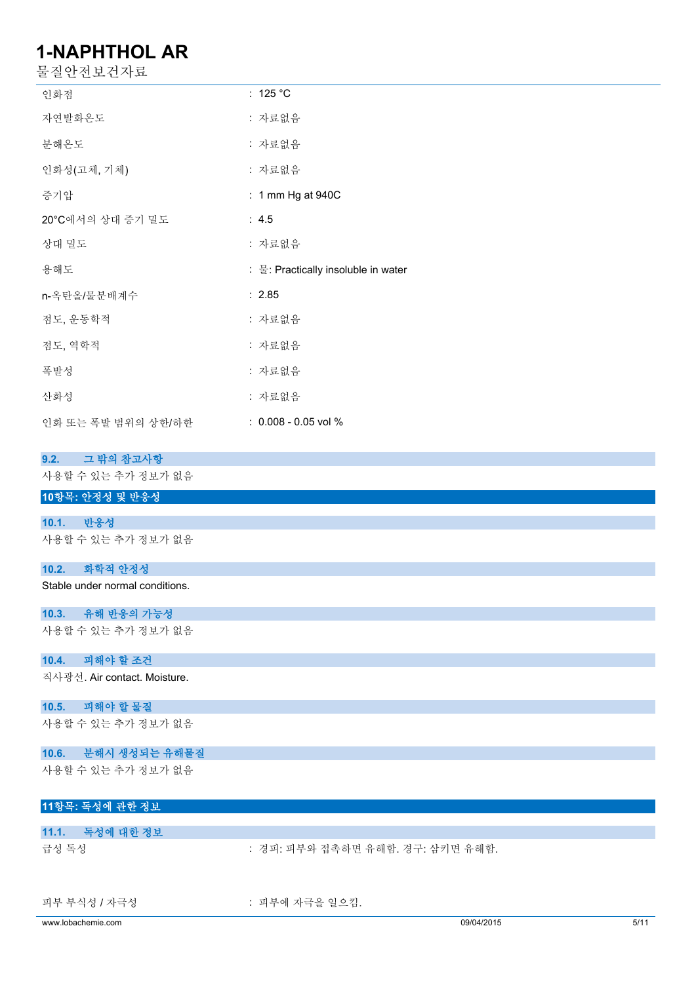| 물질안전보건자료                                            |                                     |
|-----------------------------------------------------|-------------------------------------|
| 인화점                                                 | : 125 $^{\circ}$ C                  |
| 자연발화온도                                              | : 자료없음                              |
| 분해온도                                                | : 자료없음                              |
| 인화성(고체, 기체)                                         | : 자료없음                              |
| 증기압                                                 | : 1 mm Hg at 940C                   |
| 20°C에서의 상대 증기 밀도                                    | : 4.5                               |
| 상대 밀도                                               | : 자료없음                              |
| 용해도                                                 | : 물: Practically insoluble in water |
| n-옥탄올/물분배계수                                         | : 2.85                              |
| 점도, 운동학적                                            | : 자료없음                              |
| 점도, 역학적                                             | : 자료없음                              |
| 폭발성                                                 | : 자료없음                              |
| 산화성                                                 | : 자료없음                              |
| 인화 또는 폭발 범위의 상한/하한                                  | : 0.008 - 0.05 vol %                |
| 그 밖의 참고사항<br>9.2.                                   |                                     |
| 사용할 수 있는 추가 정보가 없음                                  |                                     |
| 10항목: 안정성 및 반응성                                     |                                     |
| 반응성<br>10.1.<br>사용할 수 있는 추가 정보가 없음                  |                                     |
|                                                     |                                     |
| 10.2.<br>화학적 안정성<br>Stable under normal conditions. |                                     |
|                                                     |                                     |
| 10.3.<br>유해 반응의 가능성<br>사용할 수 있는 추가 정보가 없음           |                                     |
| 10.4.                                               |                                     |
| 피해야 할 조건                                            |                                     |

직사광선. Air contact. Moisture.

## **10.5. 피해야 할 물질**

사용할 수 있는 추가 정보가 없음

### **10.6. 분해시 생성되는 유해물질**

사용할 수 있는 추가 정보가 없음

### **11항목: 독성에 관한 정보**

| 11.1. 독성에 대한 정보 |                                  |
|-----------------|----------------------------------|
| 급성 독성           | : 경피: 피부와 접촉하면 유해함. 경구: 삼키면 유해함. |
|                 |                                  |

피부 부식성 / 자극성 : 미부에 자극을 일으킴.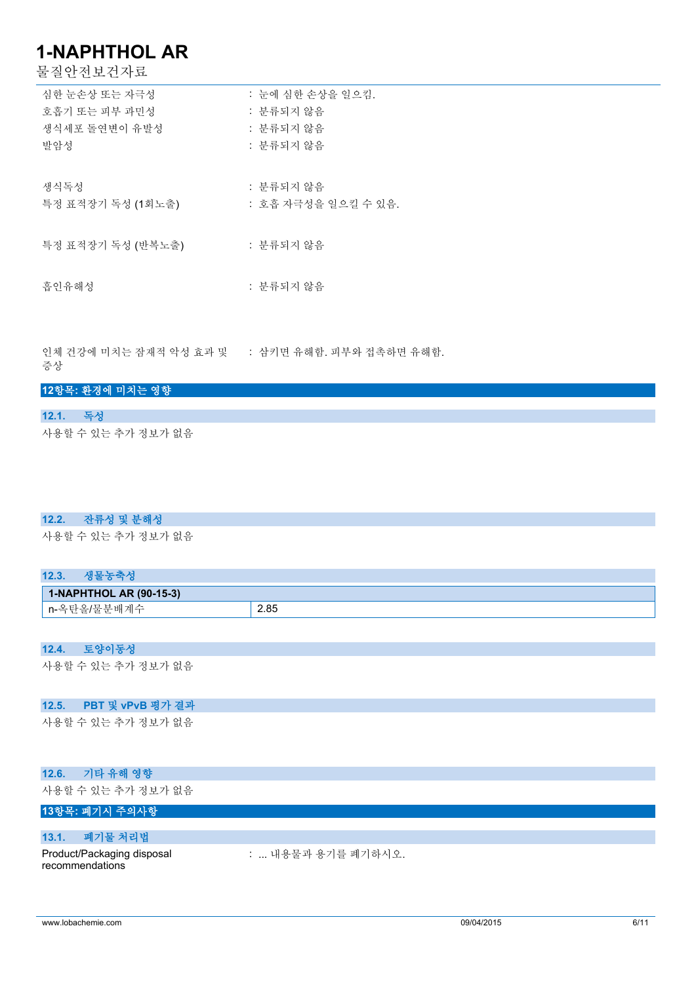물질안전보건자료

| 심한 눈손상 또는 자극성     | : 눈에 심한 손상을 일으킴.    |
|-------------------|---------------------|
| 호흡기 또는 피부 과민성     | : 분류되지 않음           |
| 생식세포 돌여변이 유발성     | : 분류되지 않음           |
| 발암성               | : 분류되지 않음           |
|                   |                     |
| 생식독성              | : 분류되지 않음           |
| 특정 표적장기 독성 (1회노출) | : 호흡 자극성을 일으킬 수 있음. |
|                   |                     |
| 특정 표적장기 독성 (반복노출) | : 분류되지 않음           |
|                   |                     |
| 흡인유해성             | : 분류되지 않음           |
|                   |                     |

인체 건강에 미치는 잠재적 악성 효과 및 증상 : 삼키면 유해함. 피부와 접촉하면 유해함.

|          | 12항목: 환경에 미치는 영향   |
|----------|--------------------|
|          |                    |
| 12.1. 독성 |                    |
|          | 사용할 수 있는 추가 정보가 없음 |

### **12.2. 잔류성 및 분해성**

사용할 수 있는 추가 정보가 없음

| 새포노추서<br>12.3.          |      |
|-------------------------|------|
| 1-NAPHTHOL AR (90-15-3) |      |
| └ n-옥탄올/물분배계수           | 2.85 |

### **12.4. 토양이동성**

사용할 수 있는 추가 정보가 없음

#### **12.5. PBT 및 vPvB 평가 결과**

사용할 수 있는 추가 정보가 없음

### **12.6. 기타 유해 영향**

사용할 수 있는 추가 정보가 없음

### **13항목: 폐기시 주의사항**

#### **13.1. 폐기물 처리법**

Product/Packaging disposal recommendations

: ... 내용물과 용기를 폐기하시오.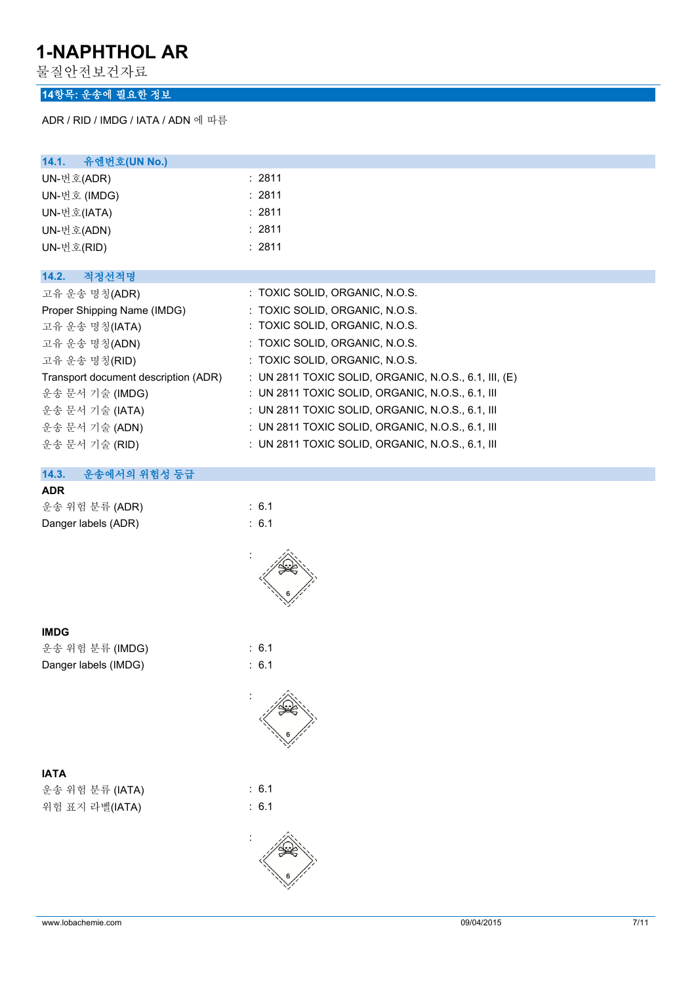물질안전보건자료

### **14항목: 운송에 필요한 정보**

ADR / RID / IMDG / IATA / ADN 에 따름

| 14.1.<br>유엔번호(UN No.)                |                                                       |
|--------------------------------------|-------------------------------------------------------|
| UN-번호(ADR)                           | : 2811                                                |
| UN-번호 (IMDG)                         | : 2811                                                |
| UN-번호(IATA)                          | : 2811                                                |
| UN-번호(ADN)                           | : 2811                                                |
| UN-번호(RID)                           | : 2811                                                |
|                                      |                                                       |
| 14.2.<br>적정선적명                       |                                                       |
| 고유 운송 명칭(ADR)                        | : TOXIC SOLID, ORGANIC, N.O.S.                        |
| Proper Shipping Name (IMDG)          | : TOXIC SOLID, ORGANIC, N.O.S.                        |
| 고유 운송 명칭(IATA)                       | : TOXIC SOLID, ORGANIC, N.O.S.                        |
| 고유 운송 명칭(ADN)                        | : TOXIC SOLID, ORGANIC, N.O.S.                        |
| 고유 운송 명칭(RID)                        | : TOXIC SOLID, ORGANIC, N.O.S.                        |
| Transport document description (ADR) | : UN 2811 TOXIC SOLID, ORGANIC, N.O.S., 6.1, III, (E) |
| 운송 문서 기술 (IMDG)                      | : UN 2811 TOXIC SOLID, ORGANIC, N.O.S., 6.1, III      |
| 운송 문서 기술 (IATA)                      | : UN 2811 TOXIC SOLID, ORGANIC, N.O.S., 6.1, III      |
| 운송 문서 기술 (ADN)                       | : UN 2811 TOXIC SOLID, ORGANIC, N.O.S., 6.1, III      |
| 운송 문서 기술 (RID)                       | : UN 2811 TOXIC SOLID, ORGANIC, N.O.S., 6.1, III      |
|                                      |                                                       |
| 14.3.<br>운송에서의 위험성 등급                |                                                       |

### **ADR**

| 운송 위험 분류 (ADR)      | $\therefore$ 6.1 |
|---------------------|------------------|
| Danger labels (ADR) | $\therefore$ 6.1 |

| I<br>×<br>v |
|-------------|

|  | 운송 위험 분류 (IMDG       |
|--|----------------------|
|  | Danger labels (IMDG) |

## **IATA**

운송 위험 분류 (IATA) : 6.1 위험 표지 라벨(IATA) : 6.1



:





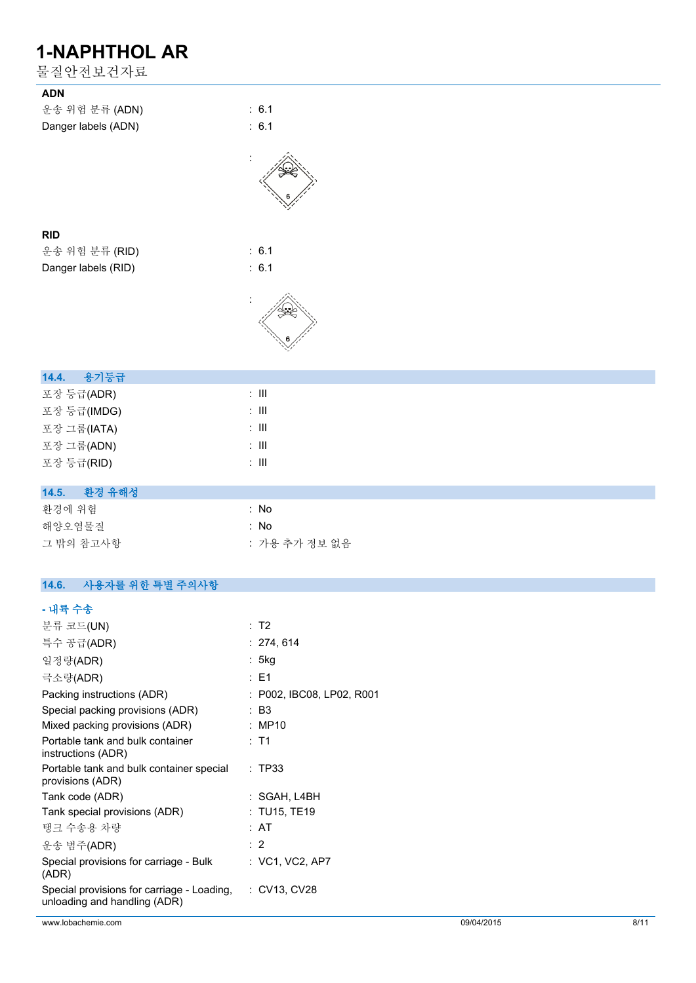| 물질안전보건자료                                                     |                           |
|--------------------------------------------------------------|---------------------------|
| <b>ADN</b>                                                   |                           |
| 운송 위험 분류 (ADN)                                               | : 6.1                     |
| Danger labels (ADN)                                          | : 6.1                     |
|                                                              |                           |
|                                                              |                           |
|                                                              |                           |
| <b>RID</b>                                                   |                           |
| 운송 위험 분류 (RID)                                               | : 6.1                     |
| Danger labels (RID)                                          | : 6.1                     |
|                                                              |                           |
|                                                              |                           |
|                                                              |                           |
|                                                              |                           |
| 14.4.<br>용기등급                                                |                           |
| 포장 등급(ADR)                                                   | $\div$ III                |
| 포장 등급(IMDG)                                                  | $\colon$ III              |
| 포장 그룹(IATA)                                                  | $\colon$ III              |
| 포장 그룹(ADN)                                                   | $\colon$ III              |
| 포장 등급(RID)                                                   | $\colon$ III              |
|                                                              |                           |
| 환경 유해성<br>14.5.                                              |                           |
| 환경에 위험                                                       | : No                      |
| 해양오염물질                                                       | : No                      |
| 그 밖의 참고사항                                                    | : 가용 추가 정보 없음             |
|                                                              |                           |
| 사용자를 위한 특별 주의사항<br>14.6.                                     |                           |
| - 내륙 수송                                                      |                           |
| 분류 코드(UN)                                                    | : T2                      |
| 특수 공급(ADR)                                                   | : 274, 614                |
| 일정량(ADR)                                                     | : 5kg                     |
| 극소량(ADR)                                                     | : E1                      |
| Packing instructions (ADR)                                   | : P002, IBC08, LP02, R001 |
| Special packing provisions (ADR)                             | : B3                      |
| Mixed packing provisions (ADR)                               | : MP10                    |
| Portable tank and bulk container<br>instructions (ADR)       | : T1                      |
| Portable tank and bulk container special<br>provisions (ADR) | : TP33                    |
| Tank code (ADR)                                              | : SGAH, L4BH              |

Tank special provisions (ADR) : TU15, TE19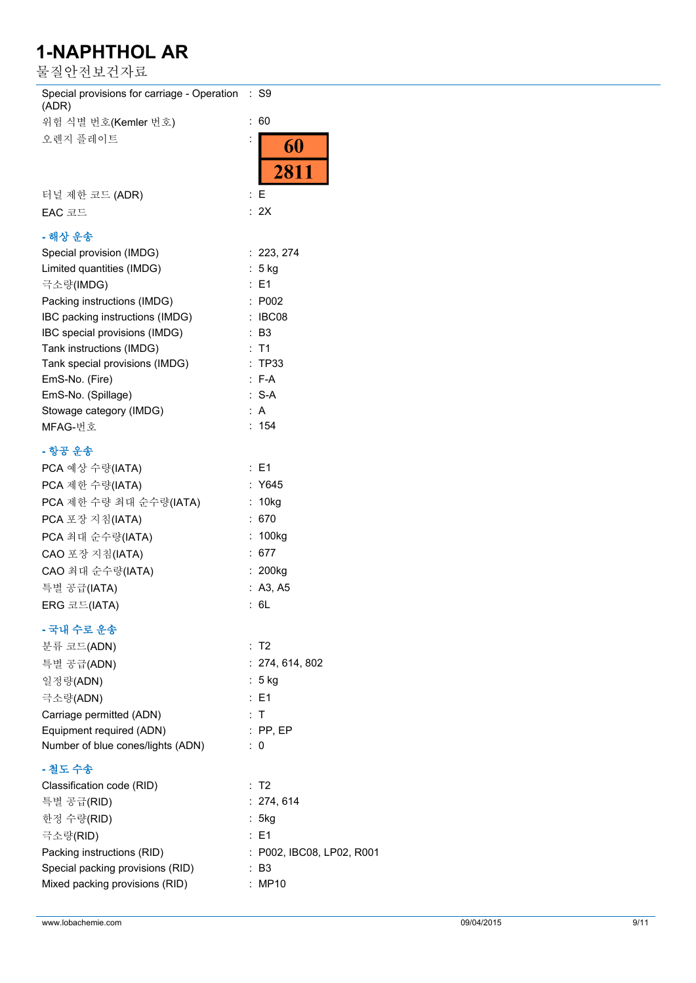물질안전보건자료

| Special provisions for carriage - Operation : S9<br>(ADR) |                           |
|-----------------------------------------------------------|---------------------------|
| 위험 식별 번호(Kemler 번호)                                       | :60                       |
| 오렌지 플레이트                                                  | 60                        |
|                                                           |                           |
|                                                           | 2811                      |
| 터널 제한 코드 (ADR)                                            | $\colon E$                |
| EAC 코드                                                    | : 2X                      |
| - 해상 운송                                                   |                           |
| Special provision (IMDG)                                  | : 223, 274                |
| Limited quantities (IMDG)                                 | $: 5$ kg                  |
| 극소량(IMDG)                                                 | : E1                      |
| Packing instructions (IMDG)                               | : P002                    |
| IBC packing instructions (IMDG)                           | : IBC08                   |
| IBC special provisions (IMDG)                             | : B3                      |
| Tank instructions (IMDG)                                  | : T1                      |
| Tank special provisions (IMDG)                            | : TP33                    |
| EmS-No. (Fire)                                            | $: F-A$                   |
| EmS-No. (Spillage)                                        | $: S-A$                   |
| Stowage category (IMDG)                                   | : $A$                     |
| MFAG-번호                                                   | : 154                     |
| - 항공 운송                                                   |                           |
|                                                           | $\therefore$ E1           |
| PCA 예상 수량(IATA)                                           |                           |
| PCA 제한 수량(IATA)                                           | : Y645                    |
| PCA 제한 수량 최대 순수량(IATA)                                    | : 10kg                    |
| PCA 포장 지침(IATA)                                           | : 670                     |
| PCA 최대 순수량(IATA)                                          | : 100kg                   |
| CAO 포장 지침(IATA)                                           | : 677                     |
| CAO 최대 순수량(IATA)                                          | : 200kg                   |
| 특별 공급(IATA)                                               | : A3, A5                  |
| ERG 코드(IATA)                                              | : 6L                      |
| - 국내 수로 운송                                                |                           |
| 분류 코드(ADN)                                                | : T2                      |
| 특별 공급(ADN)                                                | : 274, 614, 802           |
| 일정량(ADN)                                                  | : 5 kg                    |
|                                                           | : E1                      |
| 극소량(ADN)                                                  |                           |
| Carriage permitted (ADN)                                  | : T                       |
| Equipment required (ADN)                                  | $:$ PP, EP                |
| Number of blue cones/lights (ADN)                         | $\therefore$ 0            |
| - 철도 수송                                                   |                           |
| Classification code (RID)                                 | : T2                      |
| 특별 공급(RID)                                                | : 274, 614                |
| 한정 수량(RID)                                                | : 5kg                     |
| 극소량(RID)                                                  | $\therefore$ E1           |
| Packing instructions (RID)                                | : P002, IBC08, LP02, R001 |
| Special packing provisions (RID)                          | $\therefore$ B3           |
| Mixed packing provisions (RID)                            | : MP10                    |
|                                                           |                           |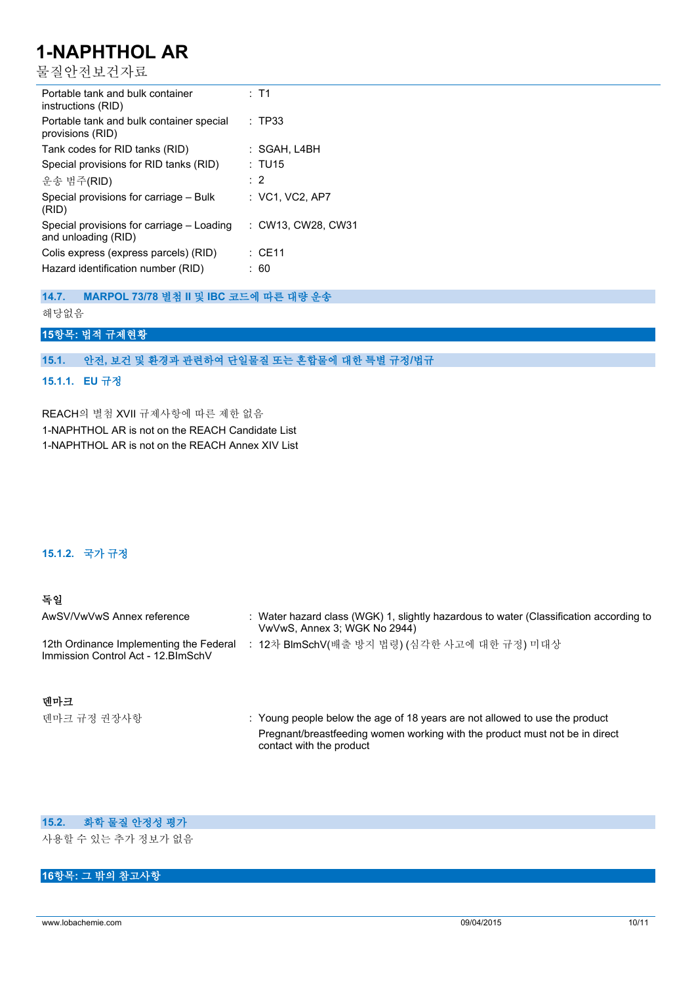물질안전보건자료

| Portable tank and bulk container<br>instructions (RID)           | $:$ T1             |
|------------------------------------------------------------------|--------------------|
| Portable tank and bulk container special<br>provisions (RID)     | : TP33             |
| Tank codes for RID tanks (RID)                                   | : SGAH, L4BH       |
| Special provisions for RID tanks (RID)                           | : TU15             |
| 운송 범주(RID)                                                       | $\therefore$ 2     |
| Special provisions for carriage – Bulk<br>(RID)                  | : VC1, VC2, AP7    |
| Special provisions for carriage – Loading<br>and unloading (RID) | : CW13. CW28. CW31 |
| Colis express (express parcels) (RID)                            | $\therefore$ CF11  |
| Hazard identification number (RID)                               | 60                 |

**14.7. MARPOL 73/78 별첨 II 및 IBC 코드에 따른 대량 운송**

해당없음

### **15항목: 법적 규제현황**

**15.1. 안전, 보건 및 환경과 관련하여 단일물질 또는 혼합물에 대한 특별 규정/법규**

### **15.1.1. EU 규정**

REACH의 별첨 XVII 규제사항에 따른 제한 없음 1-NAPHTHOL AR is not on the REACH Candidate List 1-NAPHTHOL AR is not on the REACH Annex XIV List

### **15.1.2. 국가 규정**

| 독일                                                                             |                                                                                                                        |
|--------------------------------------------------------------------------------|------------------------------------------------------------------------------------------------------------------------|
| AwSV/VwVwS Annex reference                                                     | : Water hazard class (WGK) 1, slightly hazardous to water (Classification according to<br>VwVwS, Annex 3; WGK No 2944) |
| 12th Ordinance Implementing the Federal<br>Immission Control Act - 12. BlmSchV | 12차 BlmSchV(배출 방지 법령) (심각한 사고에 대한 규정) 미대상                                                                              |

**덴마크**

덴마크 규정 권장사항 **: Young people below the age of 18 years are not allowed to use the product** Pregnant/breastfeeding women working with the product must not be in direct contact with the product

### **15.2. 화학 물질 안정성 평가**

사용할 수 있는 추가 정보가 없음

### **16항목: 그 밖의 참고사항**